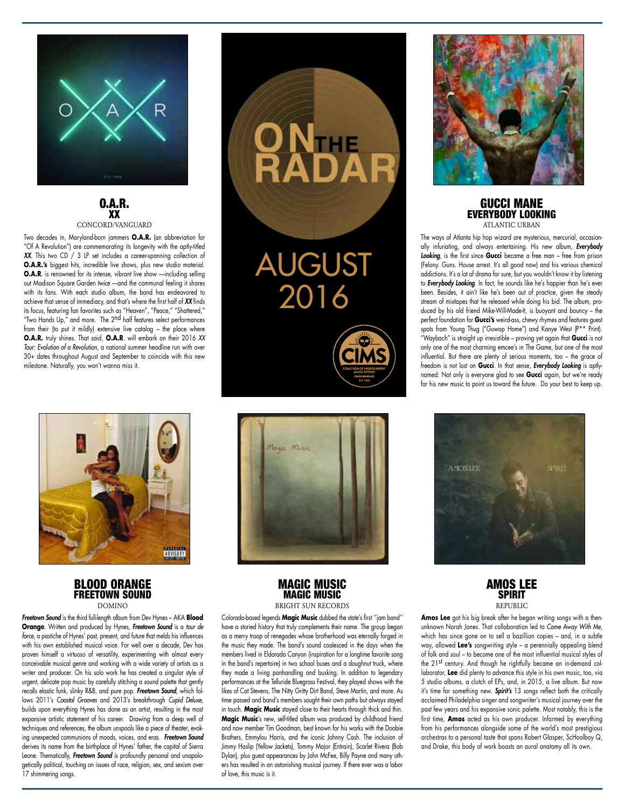

#### O.A.R. XX CONCORD/VANGUARD

Two decades in, Maryland-born jammers **O.A.R.** (an abbreviation for "Of A Revolution") are commemorating its longevity with the aptly-titled *XX.* This two CD / 3 LP set includes a career-spanning collection of **O.A.R.'s** biggest hits, incredible live shows, plus new studio material. **O.A.R**. is renowned for its intense, vibrant live show —including selling out Madison Square Garden *twice* —and the communal feeling it shares with its fans. With each studio album, the band has endeavored to achieve that sense of immediacy, and that's where the first half of *XX* finds its focus, featuring fan favorites such as "Heaven", "Peace," "Shattered," "Two Hands Up," and more. The 2<sup>nd</sup> half features select performances from their (to put it mildly) extensive live catalog – the place where **O.A.R.** truly shines. That said, **O.A.R**. will embark on their 2016 XX *Tour: Evolution of a Revolution*, a national summer headline run with over 30+ dates throughout August and September to coincide with this new milestone. Naturally, you won't wanna miss it.



### BLOOD ORANGE FREETOWN SOUND **DOMINO**

*Freetown Sound* is the third full-length album from Dev Hynes – AKA **Blood Orange**. Written and produced by Hynes, *Freetown Sound* is a *tour de force*, a pastiche of Hynes' past, present, and future that melds his influences with his own established musical voice. For well over a decade, Dev has proven himself a virtuoso of versatility, experimenting with almost every conceivable musical genre and working with a wide variety of artists as a writer and producer. On his solo work he has created a singular style of urgent, delicate pop music by carefully stitching a sound palette that gently recalls elastic funk, slinky R&B, and pure pop. *Freetown Sound*, which follows 2011's *Coastal Grooves* and 2013's breakthrough *Cupid Deluxe,* builds upon everything Hynes has done as an artist, resulting in the most expansive artistic statement of his career. Drawing from a deep well of techniques and references, the album unspools like a piece of theater, evoking unexpected communions of moods, voices, and eras. *Freetown Sound* derives its name from the birthplace of Hynes' father, the capital of Sierra Leone. Thematically, *Freetown Sound* is profoundly personal and unapologetically political, touching on issues of race, religion, sex, and sexism over 17 shimmering songs.



AUGUST 2016





# MAGIC MUSIC MAGIC MUSIC BRIGHT SUN RECORDS

Colorado-based legends **Magic Music** dubbed the state's first ''jam band'' have a storied history that truly complements their name. The group began as a merry troop of renegades whose brotherhood was eternally forged in the music they made. The band's sound coalesced in the days when the members lived in Eldorado Canyon (inspiration for a longtime favorite song in the band's repertoire) in two school buses and a doughnut truck, where they made a living panhandling and busking. In addition to legendary performances at the Telluride Bluegrass Festival, they played shows with the likes of Cat Stevens, The Nitty Gritty Dirt Band, Steve Martin, and more. As time passed and band's members sought their own paths but always stayed in touch. **Magic Music** stayed close to their hearts through thick and thin. **Magic Music**'s new, self-titled album was produced by childhood friend and now member Tim Goodman, best known for his works with the Doobie Brothers, Emmylou Harris, and the iconic Johnny Cash. The inclusion of Jimmy Haslip (Yellow Jackets), Tommy Major (Entrain), Scarlet Rivera (Bob Dylan), plus guest appearances by John McFee, Billy Payne and many others has resulted in an astonishing musical journey. If there ever was a labor of love, this music is it.



#### GUCCI MANE EVERYBODY LOOKING ATI ANTIC URBAN

The ways of Atlanta hip hop wizard are mysterious, mercurial, occasionally infuriating, and always entertaining. His new album, *Everybody Looking*, is the first since **Gucci** became a free man – free from prison (Felony. Guns. House arrest. It's all good now) and his various chemical addictions. It's a lot of drama for sure, but you wouldn't know it by listening to *Everybody Looking*. In fact, he sounds like he's happier than he's ever been. Besides, it ain't like he's been out of practice, given the steady stream of mixtapes that he released while doing his bid. The album, produced by his old friend Mike-Will-Made-It, is buoyant and bouncy – the perfect foundation for **Gucci's** weird-ass, chewy rhymes and features guest spots from Young Thug ("Guwop Home") and Kanye West (P\*\* Print). "Waybach" is straight up irresistible – proving yet again that **Gucci** is not only one of the most charming emcee's in The Game, but one of the most influential. But there are plenty of serious moments, too – the grace of freedom is not lost on **Gucci**. In that sense, *Everybody Looking* is aptlynamed: Not only is everyone glad to see **Gucci** again, but we're ready for his new music to point us toward the future. Do your best to keep up.



### AMOS LEE **SPIRIT** REPUBLIC

**Amos Lee** got his big break after he began writing songs with a thenunknown Norah Jones. That collaboration led to *Come Away With Me*, which has since gone on to sell a bazillion copies - and, in a subtle way, allowed **Lee's** songwriting style – a perennially appealing blend of folk and soul – to become one of the most influential musical styles of the 21st century. And though he rightfully became an in-demand collaborator, **Lee** did plenty to advance this style in his own music, too, via 5 studio albums, a clutch of EPs, and, in 2015, a live album. But now it's time for something new. *Spirit's* 13 songs reflect both the critically acclaimed Philadelphia singer and songwriter's musical journey over the past few years and his expansive sonic palette. Most notably, this is the first time, **Amos** acted as his own producer. Informed by everything from his performances alongside some of the world's most prestigious orchestras to a personal taste that spans Robert Glasper, ScHoolboy Q, and Drake, this body of work boasts an aural anatomy all its own.